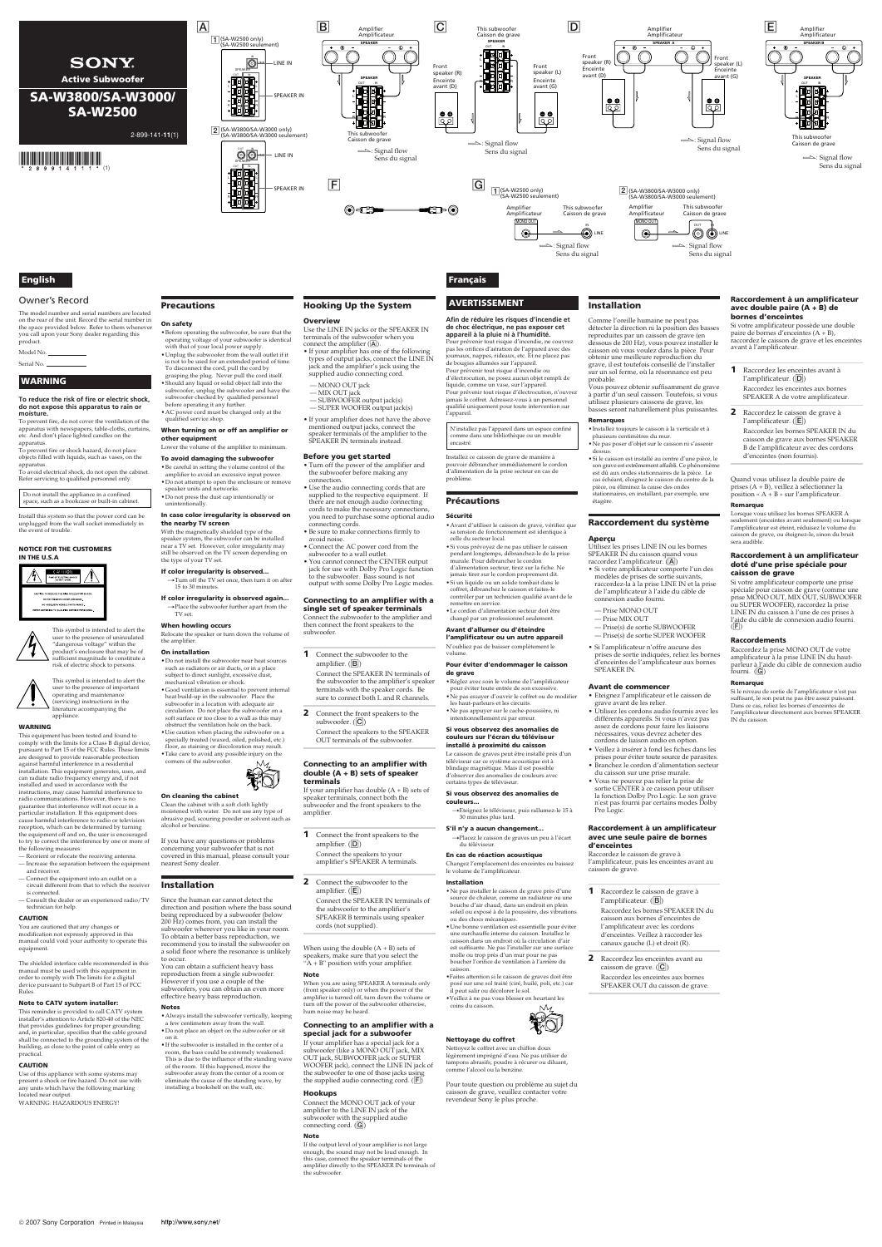**WARNING**

### **To reduce the risk of fire or electric shock, do not expose this apparatus to rain or moisture.**

To prevent fire, do not cover the ventilation of the apparatus with newspapers, table-cloths, curtains, etc. And don't place lighted candles on the apparatus.

To prevent fire or shock hazard, do not place objects filled with liquids, such as vases, on the apparatus.

To avoid electrical shock, do not open the cabinet. Refer servicing to qualified personnel only.

Do not install the appliance in a confined space, such as a bookcase or built-in cabinet.

Install this system so that the power cord can be unplugged from the wall socket immediately in the event of trouble.

### **NOTICE FOR THE CUSTOMERS IN THE U.S.A**







### **WARNING**

This equipment has been tested and found to comply with the limits for a Class B digital device, pursuant to Part 15 of the FCC Rules. These limits are designed to provide reasonable protection against harmful interference in a residential installation. This equipment generates, uses, and can radiate radio frequency energy and, if not installed and used in accordance with the instructions, may cause harmful interference to radio communications. However, there is no guarantee that interference will not occur in a particular installation. If this equipment does cause harmful interference to radio or television reception, which can be determined by turning the equipment off and on, the user is encouraged to try to correct the interference by one or more of the following measures:

- Reorient or relocate the receiving antenna.
- Increase the separation between the equipment and receiver.
- Connect the equipment into an outlet on a circuit different from that to which the receiver is connected
- Consult the dealer or an experienced radio/TV technician for help.

 $\rightarrow$ Turn off the TV set once, then turn it on after 15 to 30 minutes.

### **If color irregularity is observed again...**  $\rightarrow$ Place the subwoofer further apart from the

### **CAUTION**

You are cautioned that any changes or modification not expressly approved in this manual could void your authority to operate this equipment.

The shielded interface cable recommended in this manual must be used with this equipment in order to comply with The limits for a digital device pursuant to Subpart B of Part 15 of FCC Rules.

### **Note to CATV system installer:**

This reminder is provided to call CATV system installer's attention to Article 820-40 of the NEC that provides guidelines for proper grounding and, in particular, specifies that the cable ground shall be connected to the grounding system of the building, as close to the point of cable entry as practical.

### **CAUTION**

Use of this appliance with some systems may present a shock or fire hazard. Do not use with any units which have the following marking located near output. WARNING: HAZARDOUS ENERGY!

# **English**

### Owner's Record

The model number and serial numbers are located on the rear of the unit. Record the serial number in the space provided below. Refer to them whenever you call upon your Sony dealer regarding this product.

Model No.

# Serial No.  $-$

# **Precautions**

**On safety** •Before operating the subwoofer, be sure that the operating voltage of your subwoofer is identical with that of your local power supply. •Unplug the subwoofer from the wall outlet if it

- is not to be used for an extended period of time. To disconnect the cord, pull the cord by grasping the plug. Never pull the cord itself. •Should any liquid or solid object fall into the
- subwoofer, unplug the subwoofer and have the subwoofer checked by qualified personnel before operating it any further.
- •AC power cord must be changed only at the qualified service shop.

### **When turning on or off an amplifier or other equipment**

Lower the volume of the amplifier to minimum.

### **To avoid damaging the subwoofer**

•Be careful in setting the volume control of the amplifier to avoid an excessive input power. •Do not attempt to open the enclosure or remove speaker units and networks. •Do not press the dust cap intentionally or unintentionally.

### **In case color irregularity is observed on the nearby TV screen**

→Eteignez le téléviseur, puis rallumez-le 15 à 30 minutes plus tard.

→Placez le caisson de graves un peu à l'écart du téléviseur.

With the magnetically shielded type of the speaker system, the subwoofer can be installed near a TV set. However, color irregularity may still be observed on the TV screen depending on the type of your TV set.

### **If color irregularity is observed...**

**When howling occurs** Relocate the speaker or turn down the volume of the amplifier.

### **On installation**

•Do not install the subwoofer near heat sources

such as radiators or air ducts, or in a place subject to direct sunlight, excessive dust, mechanical vibration or shock. •Good ventilation is essential to prevent internal heat build-up in the subwoofer. Place the subwoofer in a location with adequate air circulation. Do not place the subwoofer on a soft surface or too close to a wall as this may obstruct the ventilation hole on the back. •Use caution when placing the subwoofer on a specially treated (waxed, oiled, polished, etc.)

floor, as staining or discoloration may result.



corners of the subwoofer.

### **On cleaning the cabinet**

Clean the cabinet with a soft cloth lightly moistened with water. Do not use any type of abrasive pad, scouring powder or solvent such as alcohol or benzine.

If you have any questions or problems concerning your subwoofer that is not covered in this manual, please consult your nearest Sony dealer.

### **Installation**

If your amplifier has double  $(A + B)$  sets of speaker terminals, connect both the subwoofer and the front speakers to the amplifier.

Since the human ear cannot detect the direction and position where the bass sound being reproduced by a subwoofer (below 200 Hz) comes from, you can install the subwoofer wherever you like in your room. To obtain a better bass reproduction, we recommend you to install the subwoofer on a solid floor where the resonance is unlikely to occur.

- **1** Connect the front speakers to the amplifier.  $(\vert \mathbf{D} \vert)$ Connect the speakers to your amplifier's SPEAKER A terminals.
- **2** Connect the subwoofer to the amplifier.  $(E)$ 
	- Connect the SPEAKER IN terminals of the subwoofer to the amplifier's SPEAKER B terminals using speaker cords (not supplied).

When using the double  $(A + B)$  sets of speakers, make sure that you select the " $A + B$ " position with your amplifier.

If your amplifier has a special jack for a subwoofer (like a MONO OUT jack, MIX OUT jack, SUBWOOFER jack or SUPER WOOFER jack), connect the LINE IN jack of the subwoofer to one of those jacks using the supplied audio connecting cord.  $(\boxed{\mathsf{F}})$ 

You can obtain a sufficient heavy bass reproduction from a single subwoofer. However if you use a couple of the subwoofers, you can obtain an even more effective heavy bass reproduction.

> Connect the MONO OUT jack of your amplifier to the LINE IN jack of the subwoofer with the supplied audio connecting cord.  $(\overline{G})$

### **Notes**

•Always install the subwoofer vertically, keeping a few centimeters away from the wall. •Do not place an object on the subwoofer or sit on it.

•If the subwoofer is installed in the center of a room, the bass could be extremely weakened. This is due to the influence of the standing wave of the room. If this happened, move the subwoofer away from the center of a room or eliminate the cause of the standing wave, by installing a bookshelf on the wall, etc.

 **Français**

**Afin de réduire les risques d'incendie et de choc électrique, ne pas exposer cet appareil à la pluie ni à l'humidité.**

> Utilisez les prises LINE IN ou les bornes SPEAKER IN du caisson quand vous raccordez l'amplificateur.  $(\overline{A})$

Pour prévenir tout risque d'incendie, ne couvrez pas les orifices d'aération de l'appareil avec des journaux, nappes, rideaux, etc. Et ne placez pas de bougies allumées sur l'appareil. Pour prévenir tout risque d'incendie ou d'électrocution, ne posez aucun objet rempli de liquide, comme un vase, sur l'appareil. Pour prévenir tout risque d'électrocution, n'ouvrez jamais le coffret. Adressez-vous à un personnel qualifié uniquement pour toute intervention sur l'appareil.

N'installez pas l'appareil dans un espace confiné comme dans une bibliothèque ou un meuble encastré.

Installez ce caisson de grave de manière à pouvoir débrancher immédiatement le cordon d'alimentation de la prise secteur en cas de problème.

# **Précautions**

### **Sécurité**

- •Avant d'utiliser le caisson de grave, vérifiez que sa tension de fonctionnement est identique à celle du secteur local.
- •Si vous prévoyez de ne pas utiliser le caisson pendant longtemps, débranchez-le de la prise murale. Pour débrancher le cordon d'alimentation secteur, tirez sur la fiche. Ne jamais tirer sur le cordon proprement dit. •Si un liquide ou un solide tombait dans le coffret, débranchez le caisson et faites-le contrôler par un technicien qualifié avant de le

Quand vous utilisez la double paire de prises (A + B), veillez à sélectionner la position «  $A + B$  » sur l'amplificateur.

TV set. **single set of speaker terminals** Connect the subwoofer to the amplifier and then connect the front speakers to the

remettre en service. •Le cordon d'alimentation secteur doit être changé par un professionnel seulement.

### **Avant d'allumer ou d'éteindre l'amplificateur ou un autre appareil**

Si votre amplificateur comporte une prise spéciale pour caisson de grave (comme une prise MONO OUT, MIX OUT, SUBWOOFER ou SUPER WOOFER), raccordez la prise LINE IN du caisson à l'une de ces prises à l'aide du câble de connexion audio fourni.  $(\boxed{\mathsf{F}})$ 

N'oubliez pas de baisser complètement le volume.

**Pour éviter d'endommager le caisson**

- •Réglez avec soin le volume de l'amplificateur pour éviter toute entrée de son excessive. •Ne pas essayer d'ouvrir le coffret ou de modifier
- les haut-parleurs et les circuits. •Ne pas appuyer sur le cache-poussière, ni intentionnellement ni par erreur.

fourni.  $(\overline{G})$ **Remarque**

## **AVERTISSEMENT Hooking Up the System**

### **Si vous observez des anomalies de couleurs sur l'écran du téléviseur installé à proximité du caisson**

Le caisson de graves peut être installé près d'un téléviseur car ce système acoustique est à blindage magnétique. Mais il est possible d'observer des anomalies de couleurs avec certains types de téléviseur.

# **Si vous observez des anomalies de couleurs...**

### **S'il n'y a aucun changement...**



### **En cas de réaction acoustique**

Changez l'emplacement des enceintes ou baissez le volume de l'amplificateur.

### **Installation**

- •Ne pas installer le caisson de grave près d'une source de chaleur, comme un radiateur ou une bouche d'air chaud, dans un endroit en plein soleil ou exposé à de la poussière, des vibrations ou des chocs mécaniques.
- •Une bonne ventilation est essentielle pour éviter une surchauffe interne du caisson. Installez le caisson dans un endroit où la circulation d'air est suffisante. Ne pas l'installer sur une surface molle ou trop près d'un mur pour ne pas boucher l'orifice de ventilation à l'arrière du caisson.
- •Faites attention si le caisson de graves doit être posé sur une sol traité (ciré, huilé, poli, etc.) car
- il peut salir ou décolorer le sol. •Veillez à ne pas vous blesser en heurtant les coins du caisson.



### **Nettoyage du coffret**

**de grave** amplifier.  $(|\mathbf{B}|)$ Connect the SPEAKER IN terminals of

> Nettoyez le coffret avec un chiffon doux légèrement imprégné d'eau. Ne pas utiliser de tampons abrasifs, poudre à récurer ou diluant, comme l'alcool ou la benzine.

Pour toute question ou problème au sujet du caisson de grave, veuillez contacter votre revendeur Sony le plus proche.

**Overview**

connect the amplifier  $(\mathbf{A})$ .

Use the LINE IN jacks or the SPEAKER IN terminals of the subwoofer when you

• If your amplifier has one of the following types of output jacks, connect the LINE IN jack and the amplifier's jack using the supplied audio connecting cord.

— MONO OUT jack — MIX OUT jack

— SUBWOOFER output jack(s) — SUPER WOOFER output jack(s) • If your amplifier does not have the above mentioned output jacks, connect the speaker terminals of the amplifier to the

SPEAKER IN terminals instead.

**Before you get started**

• Turn off the power of the amplifier and the subwoofer before making any

connection.

• Use the audio connecting cords that are supplied to the respective equipment. If there are not enough audio connecting cords to make the necessary connections, you need to purchase some optional audio

connecting cords.

• Be sure to make connections firmly to

avoid noise.

• Connect the AC power cord from the

subwoofer to a wall outlet.

• You cannot connect the CENTER output jack for use with Dolby Pro Logic function to the subwoofer. Bass sound is not output with some Dolby Pro Logic modes.

**Connecting to an amplifier with a**

subwoofer.

**1** Connect the subwoofer to the

the subwoofer to the amplifier's speaker terminals with the speaker cords. Be sure to connect both L and R channels.

**2** Connect the front speakers to the subwoofer.  $(\vert \overline{C} \vert)$ Connect the speakers to the SPEAKER OUT terminals of the subwoofer.

### **Connecting to an amplifier with double (A + B) sets of speaker terminals**

### **Note**

When you are using SPEAKER A terminals only (front speaker only) or when the power of the amplifier is turned off, turn down the volume or turn off the power of the subwoofer otherwise, hum noise may be heard.

### **Connecting to an amplifier with a special jack for a subwoofer**

### **Hookups**

### **Note**

If the output level of your amplifier is not large enough, the sound may not be loud enough. In this case, connect the speaker terminals of the amplifier directly to the SPEAKER IN terminals of the subwoofer.

# **Installation**

Comme l'oreille humaine ne peut pas détecter la direction ni la position des basses reproduites par un caisson de grave (en dessous de 200 Hz), vous pouvez installer le caisson où vous voulez dans la pièce. Pour obtenir une meilleure reproduction du grave, il est toutefois conseillé de l'installer sur un sol ferme, où la résonnance est peu probable.

Vous pouvez obtenir suffisamment de grave à partir d'un seul caisson. Toutefois, si vous utilisez plusieurs caissons de grave, les basses seront naturellement plus puissantes.

### **Remarques**

- •Installez toujours le caisson à la verticale et à plusieurs centimètres du mur. •Ne pas poser d'objet sur le caisson ni s'asseoir dessus.
- •Si le caisson est installé au centre d'une pièce, le son grave est extrêmement affaibli. Ce phénomème est dû aux ondes stationnaires de la pièce. Le cas échéant, éloignez le caisson du centre de la pièce, ou éliminez la cause des ondes stationnaires, en installant, par exemple, une étagère.

### **Raccordement du système**

### **Aperçu**

- Si votre amplificateur comporte l'un des modèles de prises de sortie suivants, raccordez-la à la prise LINE IN et la prise de l'amplificateur à l'aide du câble de connexion audio fourni.
- Prise MONO OUT
- Prise MIX OUT
- Prise(s) de sortie SUBWOOFER
- Prise(s) de sortie SUPER WOOFER
- Si l'amplificateur n'offre aucune des prises de sortie indiquées, reliez les bornes d'enceintes de l'amplificateur aux bornes

SPEAKER IN.

### **Avant de commencer**

- Eteignez l'amplificateur et le caisson de grave avant de les relier.
- Utilisez les cordons audio fournis avec les différents appareils. Si vous n'avez pas assez de cordons pour faire les liaisons nécessaires, vous devrez acheter des cordons de liaison audio en option.
- Veillez à insérer à fond les fiches dans les prises pour éviter toute source de parasites.
- Branchez le cordon d'alimentation secteur du caisson sur une prise murale.
- Vous ne pouvez pas relier la prise de sortie CENTER à ce caisson pour utiliser la fonction Dolby Pro Logic. Le son grave n'est pas fourni par certains modes Dolby Pro Logic.

### **Raccordement à un amplificateur avec une seule paire de bornes d'enceintes**

Raccordez le caisson de grave à l'amplificateur, puis les enceintes avant au caisson de grave.

**1** Raccordez le caisson de grave à l'amplificateur.  $(\boxed{\mathbf{B}})$ Raccordez les bornes SPEAKER IN du caisson aux bornes d'enceintes de l'amplificateur avec les cordons d'enceintes. Veillez à raccorder les canaux gauche (L) et droit (R).

**2** Raccordez les enceintes avant au caisson de grave.  $(\vert C \vert)$ Raccordez les enceintes aux bornes SPEAKER OUT du caisson de grave.

# **Raccordement à un amplificateur avec double paire (A + B) de bornes d'enceintes**

Si votre amplificateur possède une double paire de bornes d'enceintes (A + B), raccordez le caisson de grave et les enceintes avant à l'amplificateur.

- **1** Raccordez les enceintes avant à l'amplificateur.  $(|D|)$
- Raccordez les enceintes aux bornes SPEAKER A de votre amplificateur.
- **2** Raccordez le caisson de grave à l'amplificateur.  $(|E|)$ Raccordez les bornes SPEAKER IN du caisson de grave aux bornes SPEAKER B de l'amplificateur avec des cordons d'enceintes (non fournis).

### **Remarque**

Lorsque vous utilisez les bornes SPEAKER A seulement (enceintes avant seulement) ou lorsque l'amplificateur est éteint, réduisez le volume du caisson de grave, ou éteignez-le, sinon du bruit sera audible.

### **Raccordement à un amplificateur doté d'une prise spéciale pour caisson de grave**

### **Raccordements**

Raccordez la prise MONO OUT de votre amplificateur à la prise LINE IN du hautparleur à l'aide du câble de connexion audio

### Si le niveau de sortie de l'amplificateur n'est pas suffisant, le son peut ne pas être assez puissant. Dans ce cas, reliez les bornes d'enceintes de l'amplificateur directement aux bornes SPEAKER IN du caisson.